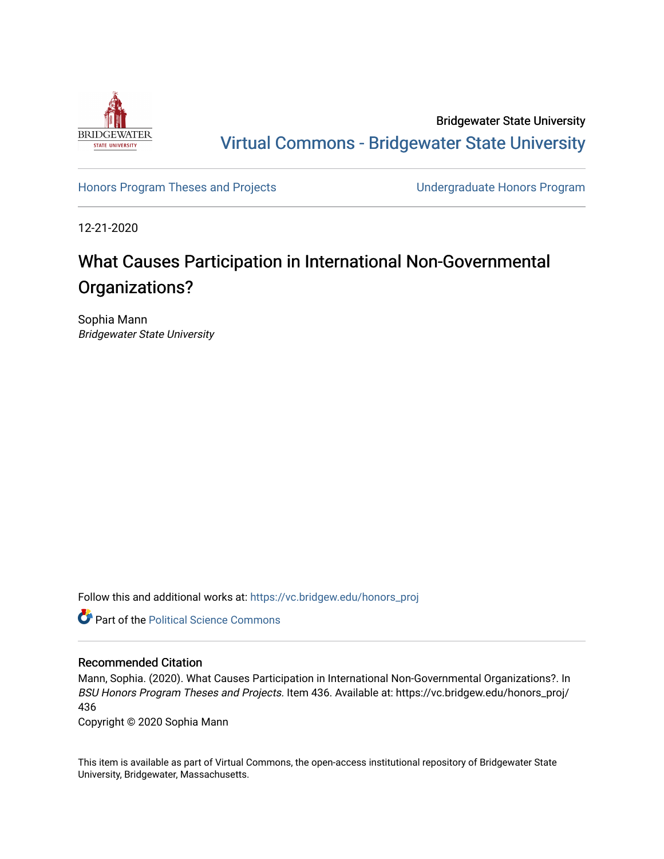

Bridgewater State University [Virtual Commons - Bridgewater State University](https://vc.bridgew.edu/) 

[Honors Program Theses and Projects](https://vc.bridgew.edu/honors_proj) [Undergraduate Honors Program](https://vc.bridgew.edu/honors) 

12-21-2020

# What Causes Participation in International Non-Governmental Organizations?

Sophia Mann Bridgewater State University

Follow this and additional works at: [https://vc.bridgew.edu/honors\\_proj](https://vc.bridgew.edu/honors_proj?utm_source=vc.bridgew.edu%2Fhonors_proj%2F436&utm_medium=PDF&utm_campaign=PDFCoverPages)



#### Recommended Citation

Mann, Sophia. (2020). What Causes Participation in International Non-Governmental Organizations?. In BSU Honors Program Theses and Projects. Item 436. Available at: https://vc.bridgew.edu/honors\_proj/ 436

Copyright © 2020 Sophia Mann

This item is available as part of Virtual Commons, the open-access institutional repository of Bridgewater State University, Bridgewater, Massachusetts.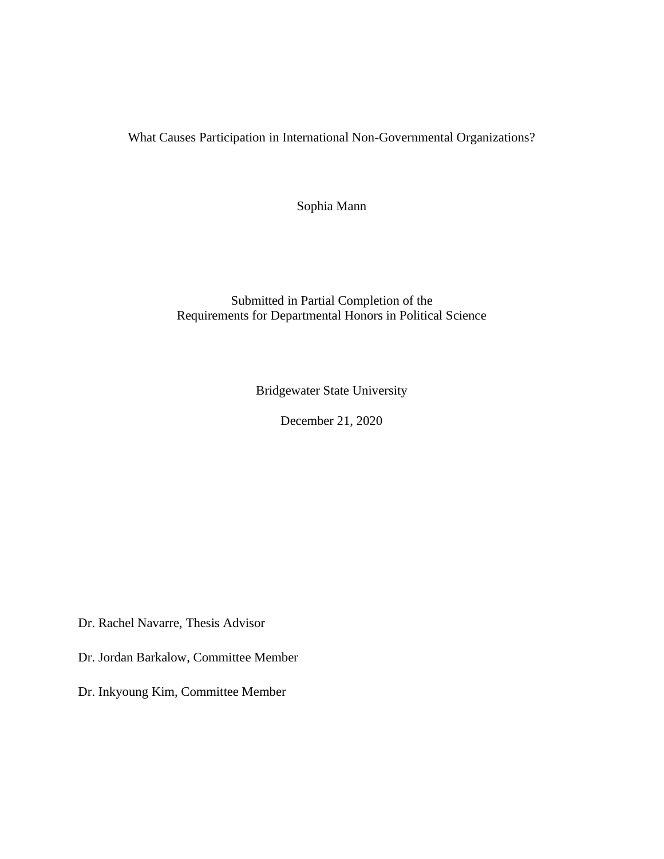What Causes Participation in International Non-Governmental Organizations?

Sophia Mann

# Submitted in Partial Completion of the Requirements for Departmental Honors in Political Science

Bridgewater State University

December 21, 2020

Dr. Rachel Navarre, Thesis Advisor

Dr. Jordan Barkalow, Committee Member

Dr. Inkyoung Kim, Committee Member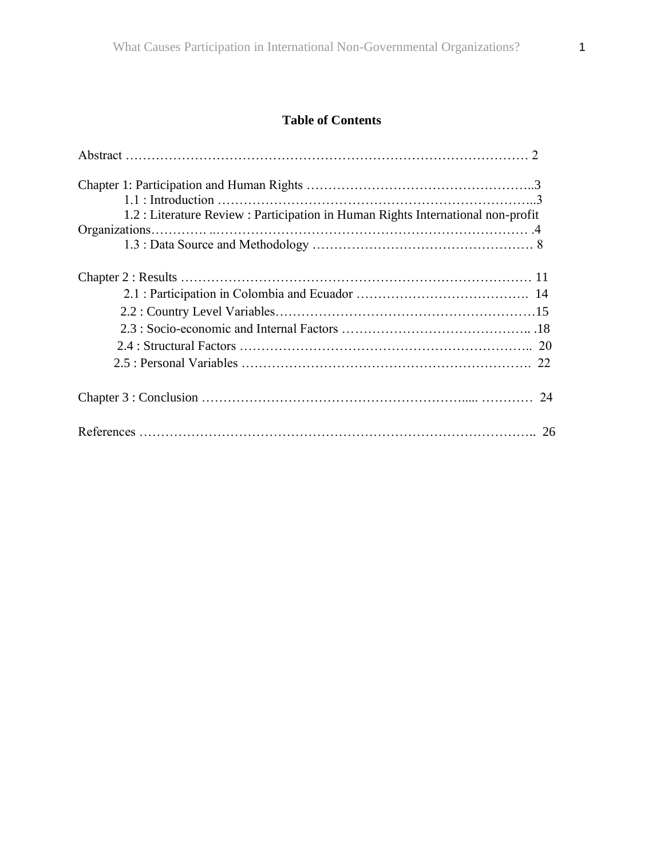# **Table of Contents**

| 1.2 : Literature Review : Participation in Human Rights International non-profit |  |
|----------------------------------------------------------------------------------|--|
|                                                                                  |  |
|                                                                                  |  |
|                                                                                  |  |
|                                                                                  |  |
|                                                                                  |  |
|                                                                                  |  |
|                                                                                  |  |
|                                                                                  |  |
|                                                                                  |  |
|                                                                                  |  |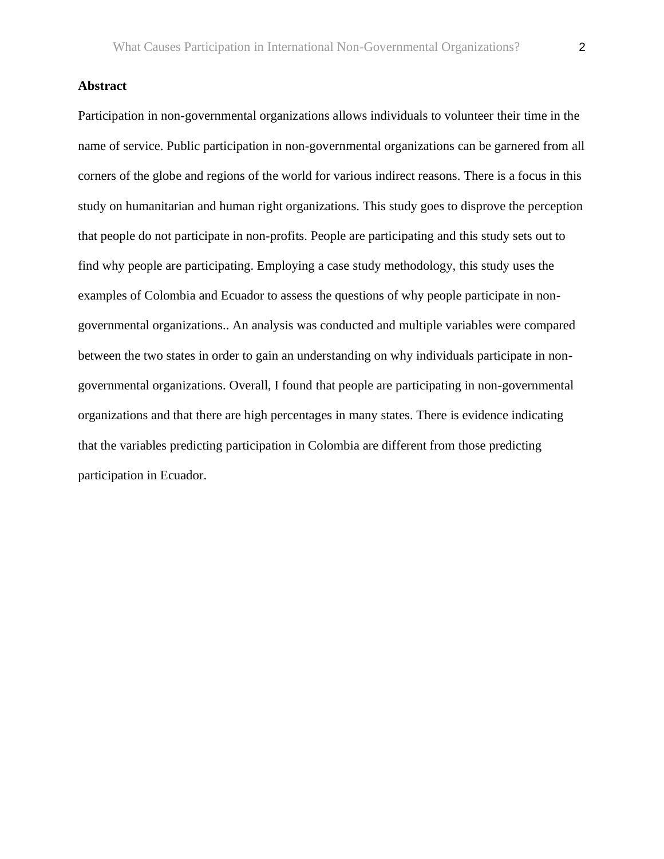# **Abstract**

Participation in non-governmental organizations allows individuals to volunteer their time in the name of service. Public participation in non-governmental organizations can be garnered from all corners of the globe and regions of the world for various indirect reasons. There is a focus in this study on humanitarian and human right organizations. This study goes to disprove the perception that people do not participate in non-profits. People are participating and this study sets out to find why people are participating. Employing a case study methodology, this study uses the examples of Colombia and Ecuador to assess the questions of why people participate in nongovernmental organizations.. An analysis was conducted and multiple variables were compared between the two states in order to gain an understanding on why individuals participate in nongovernmental organizations. Overall, I found that people are participating in non-governmental organizations and that there are high percentages in many states. There is evidence indicating that the variables predicting participation in Colombia are different from those predicting participation in Ecuador.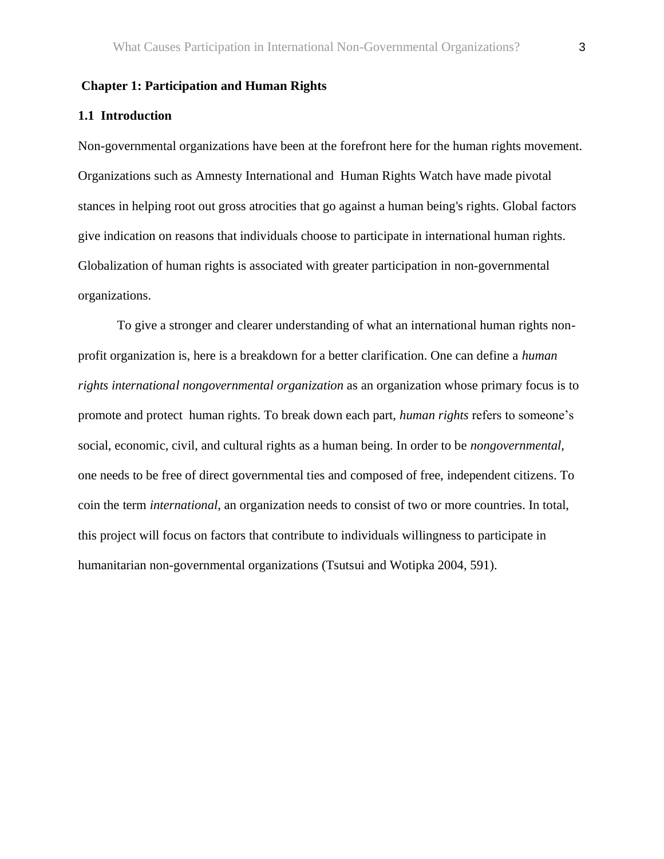#### **Chapter 1: Participation and Human Rights**

#### **1.1 Introduction**

Non-governmental organizations have been at the forefront here for the human rights movement. Organizations such as Amnesty International and Human Rights Watch have made pivotal stances in helping root out gross atrocities that go against a human being's rights. Global factors give indication on reasons that individuals choose to participate in international human rights. Globalization of human rights is associated with greater participation in non-governmental organizations.

To give a stronger and clearer understanding of what an international human rights nonprofit organization is, here is a breakdown for a better clarification. One can define a *human rights international nongovernmental organization* as an organization whose primary focus is to promote and protect human rights. To break down each part, *human rights* refers to someone's social, economic, civil, and cultural rights as a human being. In order to be *nongovernmental*, one needs to be free of direct governmental ties and composed of free, independent citizens. To coin the term *international*, an organization needs to consist of two or more countries. In total, this project will focus on factors that contribute to individuals willingness to participate in humanitarian non-governmental organizations (Tsutsui and Wotipka 2004, 591).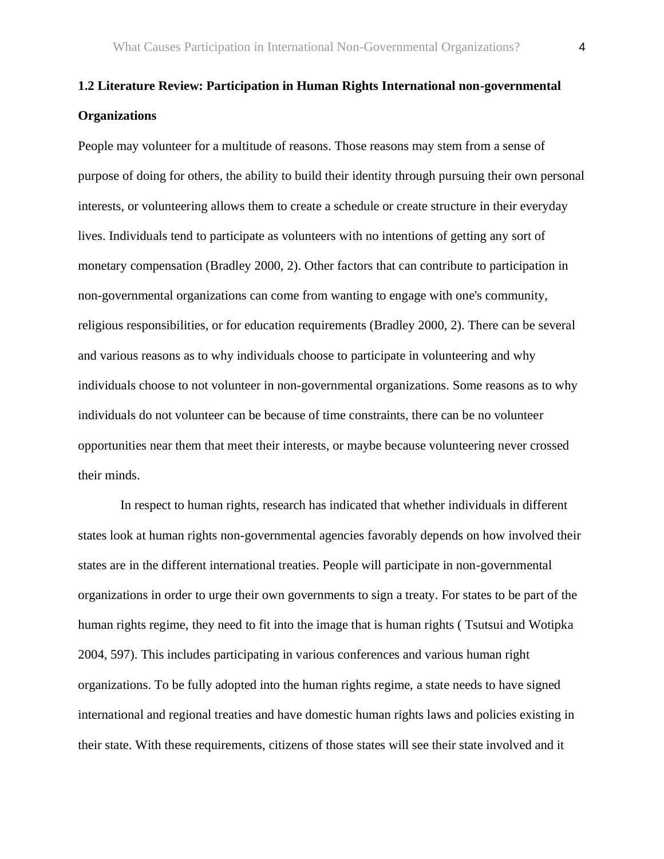# **1.2 Literature Review: Participation in Human Rights International non-governmental Organizations**

People may volunteer for a multitude of reasons. Those reasons may stem from a sense of purpose of doing for others, the ability to build their identity through pursuing their own personal interests, or volunteering allows them to create a schedule or create structure in their everyday lives. Individuals tend to participate as volunteers with no intentions of getting any sort of monetary compensation (Bradley 2000, 2). Other factors that can contribute to participation in non-governmental organizations can come from wanting to engage with one's community, religious responsibilities, or for education requirements (Bradley 2000, 2). There can be several and various reasons as to why individuals choose to participate in volunteering and why individuals choose to not volunteer in non-governmental organizations. Some reasons as to why individuals do not volunteer can be because of time constraints, there can be no volunteer opportunities near them that meet their interests, or maybe because volunteering never crossed their minds.

In respect to human rights, research has indicated that whether individuals in different states look at human rights non-governmental agencies favorably depends on how involved their states are in the different international treaties. People will participate in non-governmental organizations in order to urge their own governments to sign a treaty. For states to be part of the human rights regime, they need to fit into the image that is human rights ( Tsutsui and Wotipka 2004, 597). This includes participating in various conferences and various human right organizations. To be fully adopted into the human rights regime, a state needs to have signed international and regional treaties and have domestic human rights laws and policies existing in their state. With these requirements, citizens of those states will see their state involved and it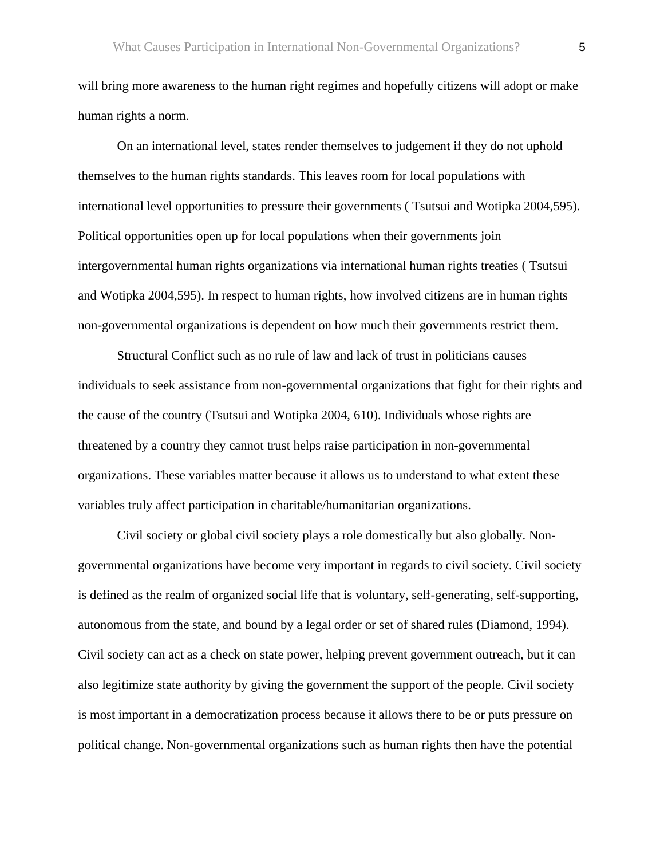will bring more awareness to the human right regimes and hopefully citizens will adopt or make human rights a norm.

On an international level, states render themselves to judgement if they do not uphold themselves to the human rights standards. This leaves room for local populations with international level opportunities to pressure their governments ( Tsutsui and Wotipka 2004,595). Political opportunities open up for local populations when their governments join intergovernmental human rights organizations via international human rights treaties ( Tsutsui and Wotipka 2004,595). In respect to human rights, how involved citizens are in human rights non-governmental organizations is dependent on how much their governments restrict them.

Structural Conflict such as no rule of law and lack of trust in politicians causes individuals to seek assistance from non-governmental organizations that fight for their rights and the cause of the country (Tsutsui and Wotipka 2004, 610). Individuals whose rights are threatened by a country they cannot trust helps raise participation in non-governmental organizations. These variables matter because it allows us to understand to what extent these variables truly affect participation in charitable/humanitarian organizations.

Civil society or global civil society plays a role domestically but also globally. Nongovernmental organizations have become very important in regards to civil society. Civil society is defined as the realm of organized social life that is voluntary, self-generating, self-supporting, autonomous from the state, and bound by a legal order or set of shared rules (Diamond, 1994). Civil society can act as a check on state power, helping prevent government outreach, but it can also legitimize state authority by giving the government the support of the people. Civil society is most important in a democratization process because it allows there to be or puts pressure on political change. Non-governmental organizations such as human rights then have the potential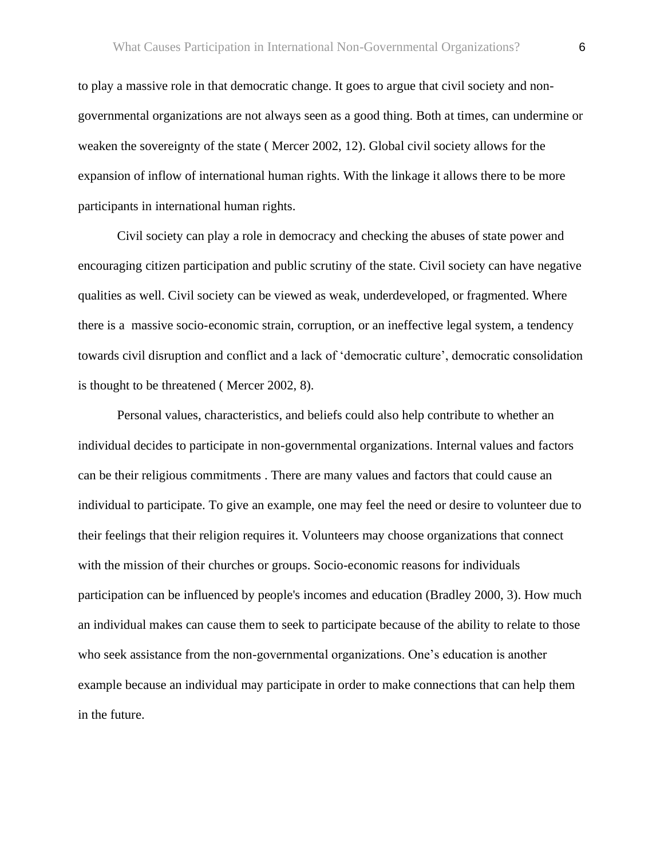to play a massive role in that democratic change. It goes to argue that civil society and nongovernmental organizations are not always seen as a good thing. Both at times, can undermine or weaken the sovereignty of the state ( Mercer 2002, 12). Global civil society allows for the expansion of inflow of international human rights. With the linkage it allows there to be more participants in international human rights.

Civil society can play a role in democracy and checking the abuses of state power and encouraging citizen participation and public scrutiny of the state. Civil society can have negative qualities as well. Civil society can be viewed as weak, underdeveloped, or fragmented. Where there is a massive socio-economic strain, corruption, or an ineffective legal system, a tendency towards civil disruption and conflict and a lack of 'democratic culture', democratic consolidation is thought to be threatened ( Mercer 2002, 8).

Personal values, characteristics, and beliefs could also help contribute to whether an individual decides to participate in non-governmental organizations. Internal values and factors can be their religious commitments . There are many values and factors that could cause an individual to participate. To give an example, one may feel the need or desire to volunteer due to their feelings that their religion requires it. Volunteers may choose organizations that connect with the mission of their churches or groups. Socio-economic reasons for individuals participation can be influenced by people's incomes and education (Bradley 2000, 3). How much an individual makes can cause them to seek to participate because of the ability to relate to those who seek assistance from the non-governmental organizations. One's education is another example because an individual may participate in order to make connections that can help them in the future.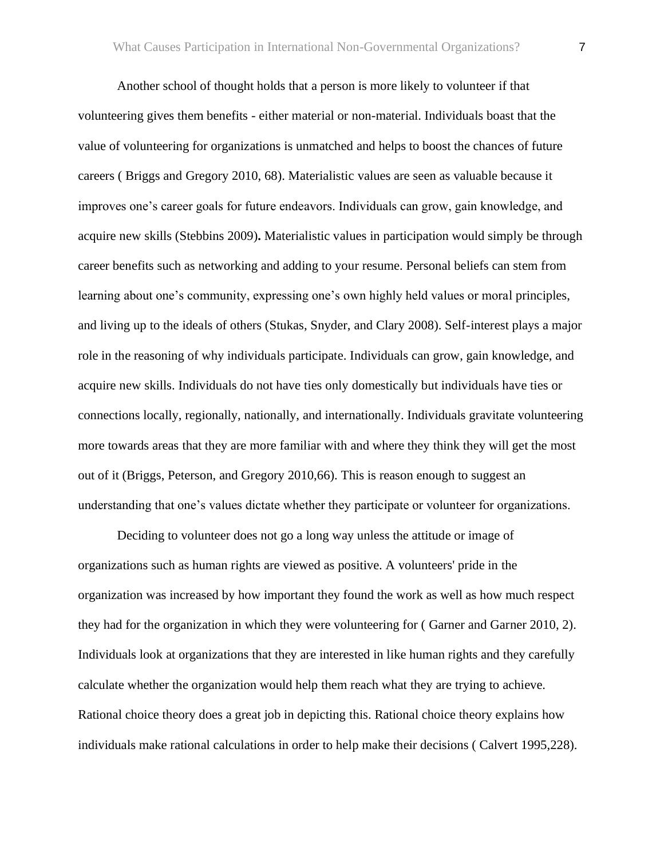Another school of thought holds that a person is more likely to volunteer if that volunteering gives them benefits - either material or non-material. Individuals boast that the value of volunteering for organizations is unmatched and helps to boost the chances of future careers ( Briggs and Gregory 2010, 68). Materialistic values are seen as valuable because it improves one's career goals for future endeavors. Individuals can grow, gain knowledge, and acquire new skills (Stebbins 2009)**.** Materialistic values in participation would simply be through career benefits such as networking and adding to your resume. Personal beliefs can stem from learning about one's community, expressing one's own highly held values or moral principles, and living up to the ideals of others (Stukas, Snyder, and Clary 2008). Self-interest plays a major role in the reasoning of why individuals participate. Individuals can grow, gain knowledge, and acquire new skills. Individuals do not have ties only domestically but individuals have ties or connections locally, regionally, nationally, and internationally. Individuals gravitate volunteering more towards areas that they are more familiar with and where they think they will get the most out of it (Briggs, Peterson, and Gregory 2010,66). This is reason enough to suggest an understanding that one's values dictate whether they participate or volunteer for organizations.

Deciding to volunteer does not go a long way unless the attitude or image of organizations such as human rights are viewed as positive. A volunteers' pride in the organization was increased by how important they found the work as well as how much respect they had for the organization in which they were volunteering for ( Garner and Garner 2010, 2). Individuals look at organizations that they are interested in like human rights and they carefully calculate whether the organization would help them reach what they are trying to achieve. Rational choice theory does a great job in depicting this. Rational choice theory explains how individuals make rational calculations in order to help make their decisions ( Calvert 1995,228).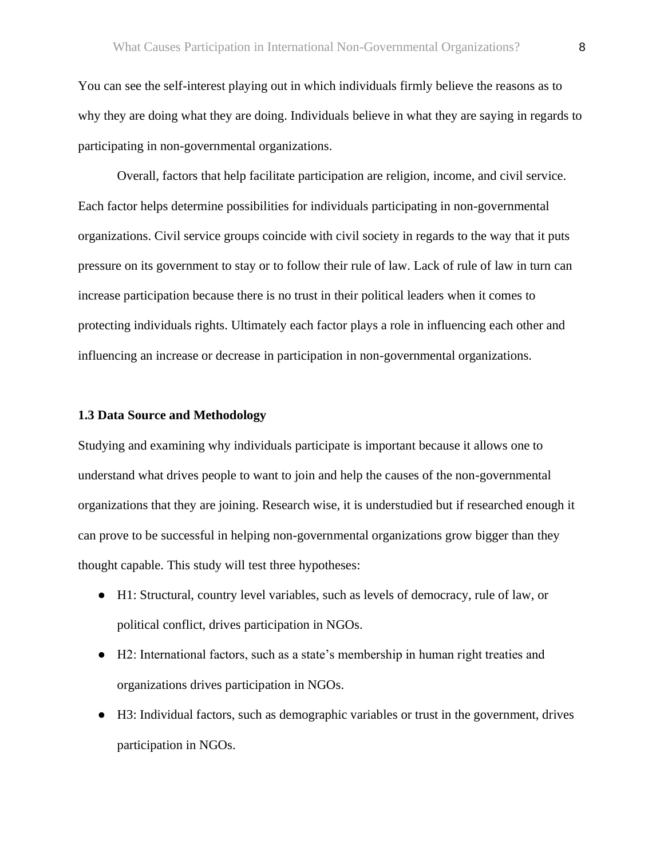You can see the self-interest playing out in which individuals firmly believe the reasons as to why they are doing what they are doing. Individuals believe in what they are saying in regards to participating in non-governmental organizations.

Overall, factors that help facilitate participation are religion, income, and civil service. Each factor helps determine possibilities for individuals participating in non-governmental organizations. Civil service groups coincide with civil society in regards to the way that it puts pressure on its government to stay or to follow their rule of law. Lack of rule of law in turn can increase participation because there is no trust in their political leaders when it comes to protecting individuals rights. Ultimately each factor plays a role in influencing each other and influencing an increase or decrease in participation in non-governmental organizations.

### **1.3 Data Source and Methodology**

Studying and examining why individuals participate is important because it allows one to understand what drives people to want to join and help the causes of the non-governmental organizations that they are joining. Research wise, it is understudied but if researched enough it can prove to be successful in helping non-governmental organizations grow bigger than they thought capable. This study will test three hypotheses:

- H1: Structural, country level variables, such as levels of democracy, rule of law, or political conflict, drives participation in NGOs.
- H2: International factors, such as a state's membership in human right treaties and organizations drives participation in NGOs.
- H3: Individual factors, such as demographic variables or trust in the government, drives participation in NGOs.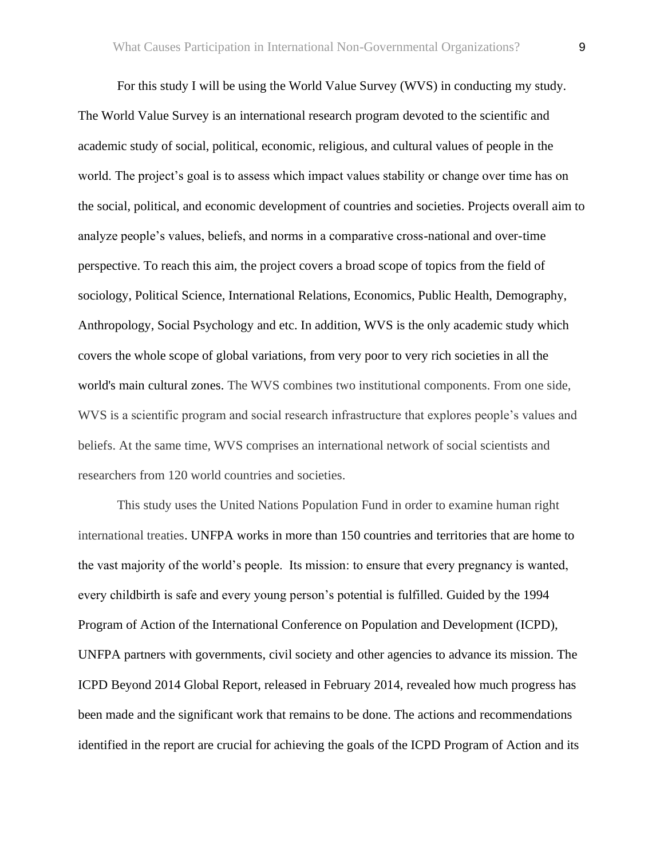For this study I will be using the World Value Survey (WVS) in conducting my study. The World Value Survey is an international research program devoted to the scientific and academic study of social, political, economic, religious, and cultural values of people in the world. The project's goal is to assess which impact values stability or change over time has on the social, political, and economic development of countries and societies. Projects overall aim to analyze people's values, beliefs, and norms in a comparative cross-national and over-time perspective. To reach this aim, the project covers a broad scope of topics from the field of sociology, Political Science, International Relations, Economics, Public Health, Demography, Anthropology, Social Psychology and etc. In addition, WVS is the only academic study which covers the whole scope of global variations, from very poor to very rich societies in all the world's main cultural zones. The WVS combines two institutional components. From one side, WVS is a scientific program and social research infrastructure that explores people's values and beliefs. At the same time, WVS comprises an international network of social scientists and researchers from 120 world countries and societies.

This study uses the United Nations Population Fund in order to examine human right international treaties. UNFPA works in more than 150 countries and territories that are home to the vast majority of the world's people. Its mission: to ensure that every pregnancy is wanted, every childbirth is safe and every young person's potential is fulfilled. Guided by the 1994 Program of Action of the International Conference on Population and Development [\(ICPD\)](https://www.unfpa.org/icpd), UNFPA partners with governments, civil society and other agencies to advance its mission. The [ICPD Beyond 2014 Global Report,](https://www.unfpa.org/publications/framework-actions-follow-programme-action-international-conference-population-and) released in February 2014, revealed how much progress has been made and the significant work that remains to be done. The actions and recommendations identified in the report are crucial for achieving the goals of the ICPD Program of Action and its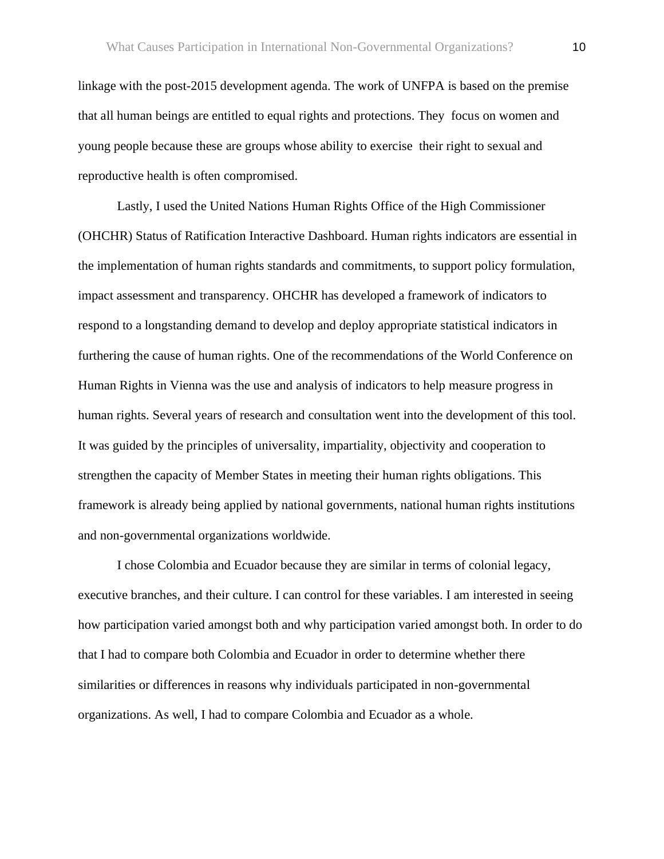linkage with the post-2015 development agenda. The work of UNFPA is based on the premise that all human beings are entitled to equal rights and protections. They focus on women and young people because these are groups whose ability to exercise their right to sexual and reproductive health is often compromised.

Lastly, I used the United Nations Human Rights Office of the High Commissioner (OHCHR) Status of Ratification Interactive Dashboard. Human rights indicators are essential in the implementation of human rights standards and commitments, to support policy formulation, impact assessment and transparency. OHCHR has developed a framework of indicators to respond to a longstanding demand to develop and deploy appropriate statistical indicators in furthering the cause of human rights. One of the recommendations of the World Conference on Human Rights in Vienna was the use and analysis of indicators to help measure progress in human rights. Several years of research and consultation went into the development of this tool. It was guided by the principles of universality, impartiality, objectivity and cooperation to strengthen the capacity of Member States in meeting their human rights obligations. This framework is already being applied by national governments, national human rights institutions and non-governmental organizations worldwide.

I chose Colombia and Ecuador because they are similar in terms of colonial legacy, executive branches, and their culture. I can control for these variables. I am interested in seeing how participation varied amongst both and why participation varied amongst both. In order to do that I had to compare both Colombia and Ecuador in order to determine whether there similarities or differences in reasons why individuals participated in non-governmental organizations. As well, I had to compare Colombia and Ecuador as a whole.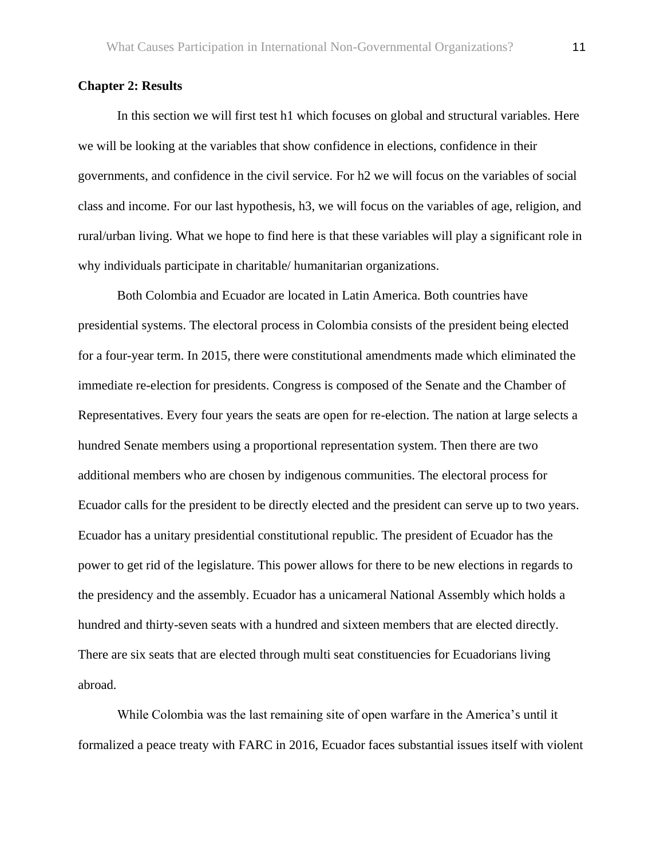#### **Chapter 2: Results**

In this section we will first test h1 which focuses on global and structural variables. Here we will be looking at the variables that show confidence in elections, confidence in their governments, and confidence in the civil service. For h2 we will focus on the variables of social class and income. For our last hypothesis, h3, we will focus on the variables of age, religion, and rural/urban living. What we hope to find here is that these variables will play a significant role in why individuals participate in charitable/ humanitarian organizations.

Both Colombia and Ecuador are located in Latin America. Both countries have presidential systems. The electoral process in Colombia consists of the president being elected for a four-year term. In 2015, there were constitutional amendments made which eliminated the immediate re-election for presidents. Congress is composed of the Senate and the Chamber of Representatives. Every four years the seats are open for re-election. The nation at large selects a hundred Senate members using a proportional representation system. Then there are two additional members who are chosen by indigenous communities. The electoral process for Ecuador calls for the president to be directly elected and the president can serve up to two years. Ecuador has a unitary presidential constitutional republic. The president of Ecuador has the power to get rid of the legislature. This power allows for there to be new elections in regards to the presidency and the assembly. Ecuador has a unicameral National Assembly which holds a hundred and thirty-seven seats with a hundred and sixteen members that are elected directly. There are six seats that are elected through multi seat constituencies for Ecuadorians living abroad.

While Colombia was the last remaining site of open warfare in the America's until it formalized a peace treaty with FARC in 2016, Ecuador faces substantial issues itself with violent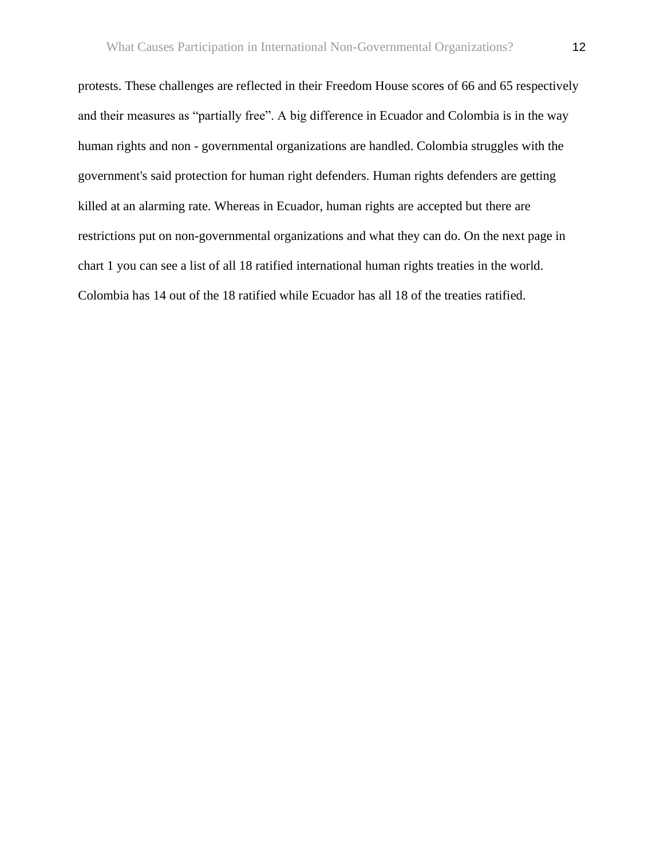protests. These challenges are reflected in their Freedom House scores of 66 and 65 respectively and their measures as "partially free". A big difference in Ecuador and Colombia is in the way human rights and non - governmental organizations are handled. Colombia struggles with the government's said protection for human right defenders. Human rights defenders are getting killed at an alarming rate. Whereas in Ecuador, human rights are accepted but there are restrictions put on non-governmental organizations and what they can do. On the next page in chart 1 you can see a list of all 18 ratified international human rights treaties in the world. Colombia has 14 out of the 18 ratified while Ecuador has all 18 of the treaties ratified.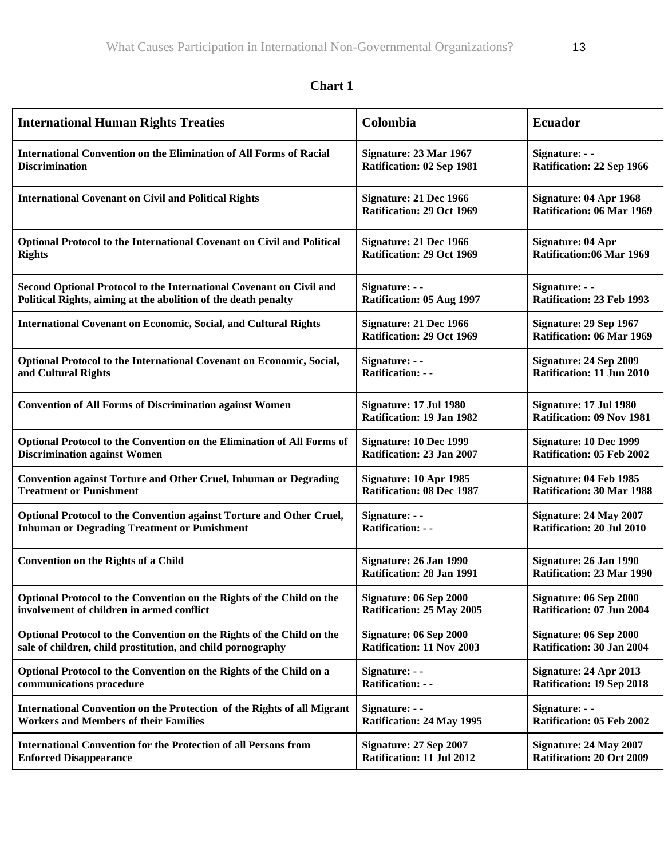| <b>International Human Rights Treaties</b>                                | Colombia                                            | <b>Ecuador</b>                                             |
|---------------------------------------------------------------------------|-----------------------------------------------------|------------------------------------------------------------|
| <b>International Convention on the Elimination of All Forms of Racial</b> | Signature: 23 Mar 1967                              | Signature: - -                                             |
| <b>Discrimination</b>                                                     | Ratification: 02 Sep 1981                           | Ratification: 22 Sep 1966                                  |
| <b>International Covenant on Civil and Political Rights</b>               | Signature: 21 Dec 1966<br>Ratification: 29 Oct 1969 | Signature: 04 Apr 1968<br>Ratification: 06 Mar 1969        |
| Optional Protocol to the International Covenant on Civil and Political    | Signature: 21 Dec 1966                              | <b>Signature: 04 Apr</b>                                   |
| <b>Rights</b>                                                             | Ratification: 29 Oct 1969                           | Ratification:06 Mar 1969                                   |
| Second Optional Protocol to the International Covenant on Civil and       | Signature: - -                                      | Signature: - -                                             |
| Political Rights, aiming at the abolition of the death penalty            | Ratification: 05 Aug 1997                           | Ratification: 23 Feb 1993                                  |
| <b>International Covenant on Economic, Social, and Cultural Rights</b>    | Signature: 21 Dec 1966<br>Ratification: 29 Oct 1969 | Signature: 29 Sep 1967<br>Ratification: 06 Mar 1969        |
| Optional Protocol to the International Covenant on Economic, Social,      | Signature: - -                                      | Signature: 24 Sep 2009                                     |
| and Cultural Rights                                                       | <b>Ratification: --</b>                             | Ratification: 11 Jun 2010                                  |
| <b>Convention of All Forms of Discrimination against Women</b>            | Signature: 17 Jul 1980<br>Ratification: 19 Jan 1982 | Signature: 17 Jul 1980<br><b>Ratification: 09 Nov 1981</b> |
| Optional Protocol to the Convention on the Elimination of All Forms of    | Signature: 10 Dec 1999                              | Signature: 10 Dec 1999                                     |
| <b>Discrimination against Women</b>                                       | Ratification: 23 Jan 2007                           | <b>Ratification: 05 Feb 2002</b>                           |
| <b>Convention against Torture and Other Cruel, Inhuman or Degrading</b>   | Signature: 10 Apr 1985                              | Signature: 04 Feb 1985                                     |
| <b>Treatment or Punishment</b>                                            | <b>Ratification: 08 Dec 1987</b>                    | <b>Ratification: 30 Mar 1988</b>                           |
| Optional Protocol to the Convention against Torture and Other Cruel,      | Signature: - -                                      | Signature: 24 May 2007                                     |
| <b>Inhuman or Degrading Treatment or Punishment</b>                       | <b>Ratification: --</b>                             | Ratification: 20 Jul 2010                                  |
| <b>Convention on the Rights of a Child</b>                                | Signature: 26 Jan 1990<br>Ratification: 28 Jan 1991 | Signature: 26 Jan 1990<br><b>Ratification: 23 Mar 1990</b> |
| Optional Protocol to the Convention on the Rights of the Child on the     | Signature: 06 Sep 2000                              | Signature: 06 Sep 2000                                     |
| involvement of children in armed conflict                                 | Ratification: 25 May 2005                           | Ratification: 07 Jun 2004                                  |
| Optional Protocol to the Convention on the Rights of the Child on the     | Signature: 06 Sep 2000                              | Signature: 06 Sep 2000                                     |
| sale of children, child prostitution, and child pornography               | Ratification: 11 Nov 2003                           | <b>Ratification: 30 Jan 2004</b>                           |
| Optional Protocol to the Convention on the Rights of the Child on a       | Signature: - -                                      | Signature: 24 Apr 2013                                     |
| communications procedure                                                  | <b>Ratification: - -</b>                            | <b>Ratification: 19 Sep 2018</b>                           |
| International Convention on the Protection of the Rights of all Migrant   | Signature: - -                                      | Signature: - -                                             |
| <b>Workers and Members of their Families</b>                              | <b>Ratification: 24 May 1995</b>                    | Ratification: 05 Feb 2002                                  |
| <b>International Convention for the Protection of all Persons from</b>    | Signature: 27 Sep 2007                              | Signature: 24 May 2007                                     |
| <b>Enforced Disappearance</b>                                             | Ratification: 11 Jul 2012                           | <b>Ratification: 20 Oct 2009</b>                           |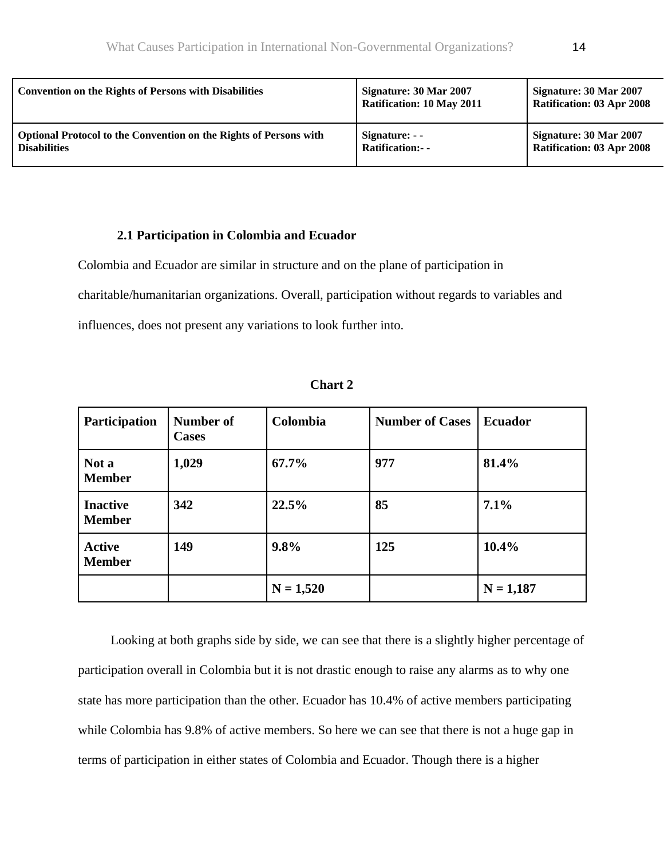| <b>Convention on the Rights of Persons with Disabilities</b>             | Signature: 30 Mar 2007<br><b>Ratification: 10 May 2011</b> | Signature: 30 Mar 2007<br><b>Ratification: 03 Apr 2008</b> |
|--------------------------------------------------------------------------|------------------------------------------------------------|------------------------------------------------------------|
| <b>Optional Protocol to the Convention on the Rights of Persons with</b> | Signature: - -                                             | Signature: 30 Mar 2007                                     |
| <b>Disabilities</b>                                                      | <b>Ratification:- -</b>                                    | <b>Ratification: 03 Apr 2008</b>                           |

# **2.1 Participation in Colombia and Ecuador**

Colombia and Ecuador are similar in structure and on the plane of participation in

charitable/humanitarian organizations. Overall, participation without regards to variables and

influences, does not present any variations to look further into.

| <b>Participation</b>             | Number of<br><b>Cases</b> | Colombia    | <b>Number of Cases</b> | <b>Ecuador</b> |
|----------------------------------|---------------------------|-------------|------------------------|----------------|
| Not a<br><b>Member</b>           | 1,029                     | $67.7\%$    | 977                    | 81.4%          |
| <b>Inactive</b><br><b>Member</b> | 342                       | 22.5%       | 85                     | 7.1%           |
| <b>Active</b><br><b>Member</b>   | 149                       | 9.8%        | 125                    | $10.4\%$       |
|                                  |                           | $N = 1,520$ |                        | $N = 1,187$    |

**Chart 2**

 Looking at both graphs side by side, we can see that there is a slightly higher percentage of participation overall in Colombia but it is not drastic enough to raise any alarms as to why one state has more participation than the other. Ecuador has 10.4% of active members participating while Colombia has 9.8% of active members. So here we can see that there is not a huge gap in terms of participation in either states of Colombia and Ecuador. Though there is a higher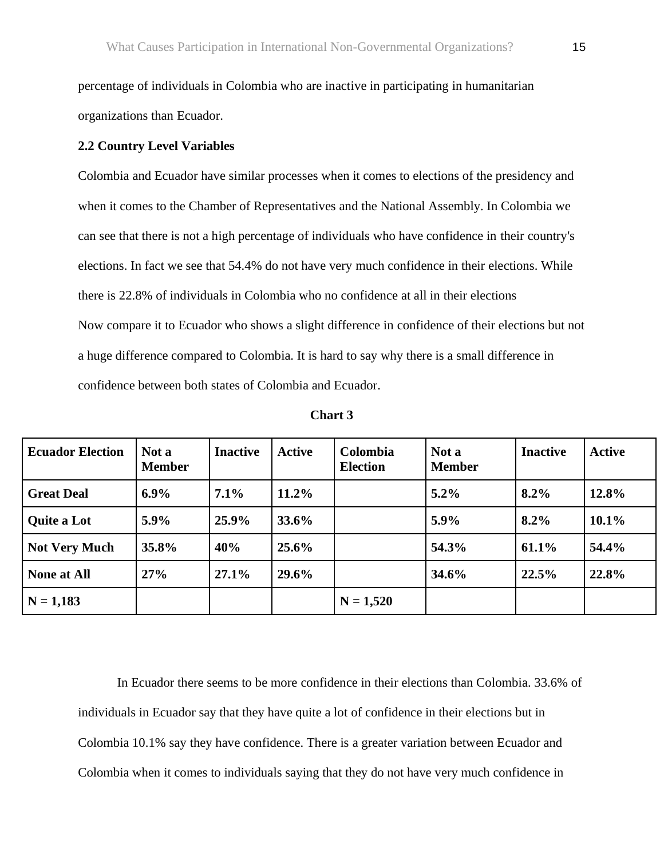percentage of individuals in Colombia who are inactive in participating in humanitarian organizations than Ecuador.

#### **2.2 Country Level Variables**

Colombia and Ecuador have similar processes when it comes to elections of the presidency and when it comes to the Chamber of Representatives and the National Assembly. In Colombia we can see that there is not a high percentage of individuals who have confidence in their country's elections. In fact we see that 54.4% do not have very much confidence in their elections. While there is 22.8% of individuals in Colombia who no confidence at all in their elections Now compare it to Ecuador who shows a slight difference in confidence of their elections but not a huge difference compared to Colombia. It is hard to say why there is a small difference in confidence between both states of Colombia and Ecuador.

| <b>Ecuador Election</b> | Not a<br><b>Member</b> | <b>Inactive</b> | Active   | <b>Colombia</b><br><b>Election</b> | Not a<br><b>Member</b> | <b>Inactive</b> | <b>Active</b> |
|-------------------------|------------------------|-----------------|----------|------------------------------------|------------------------|-----------------|---------------|
| <b>Great Deal</b>       | $6.9\%$                | 7.1%            | $11.2\%$ |                                    | $5.2\%$                | 8.2%            | 12.8%         |
| <b>Quite a Lot</b>      | 5.9%                   | 25.9%           | 33.6%    |                                    | 5.9%                   | 8.2%            | $10.1\%$      |
| <b>Not Very Much</b>    | 35.8%                  | 40%             | $25.6\%$ |                                    | 54.3%                  | 61.1%           | 54.4%         |
| <b>None at All</b>      | 27%                    | 27.1%           | 29.6%    |                                    | 34.6%                  | 22.5%           | 22.8%         |
| $N = 1,183$             |                        |                 |          | $N = 1,520$                        |                        |                 |               |

**Chart 3**

In Ecuador there seems to be more confidence in their elections than Colombia. 33.6% of individuals in Ecuador say that they have quite a lot of confidence in their elections but in Colombia 10.1% say they have confidence. There is a greater variation between Ecuador and Colombia when it comes to individuals saying that they do not have very much confidence in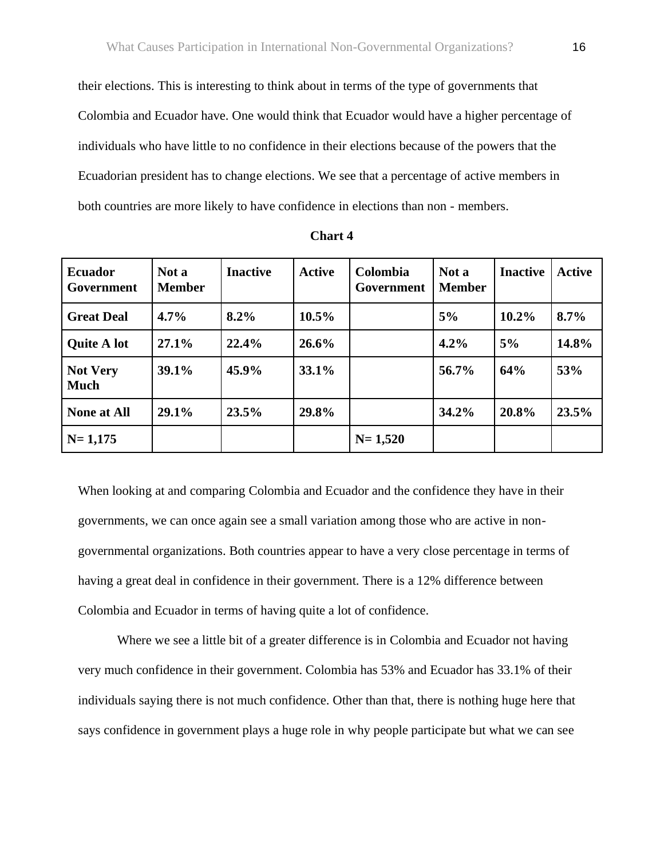their elections. This is interesting to think about in terms of the type of governments that Colombia and Ecuador have. One would think that Ecuador would have a higher percentage of individuals who have little to no confidence in their elections because of the powers that the Ecuadorian president has to change elections. We see that a percentage of active members in both countries are more likely to have confidence in elections than non - members.

| <b>Ecuador</b><br>Government   | Not a<br><b>Member</b> | <b>Inactive</b> | <b>Active</b> | Colombia<br>Government | Not a<br><b>Member</b> | <b>Inactive</b> | <b>Active</b> |
|--------------------------------|------------------------|-----------------|---------------|------------------------|------------------------|-----------------|---------------|
| <b>Great Deal</b>              | $4.7\%$                | $8.2\%$         | $10.5\%$      |                        | 5%                     | $10.2\%$        | 8.7%          |
| <b>Quite A lot</b>             | 27.1%                  | 22.4%           | $26.6\%$      |                        | 4.2%                   | 5%              | 14.8%         |
| <b>Not Very</b><br><b>Much</b> | 39.1%                  | 45.9%           | 33.1%         |                        | 56.7%                  | 64%             | 53%           |
| <b>None at All</b>             | 29.1%                  | 23.5%           | 29.8%         |                        | 34.2%                  | 20.8%           | 23.5%         |
| $N = 1,175$                    |                        |                 |               | $N = 1,520$            |                        |                 |               |

**Chart 4**

When looking at and comparing Colombia and Ecuador and the confidence they have in their governments, we can once again see a small variation among those who are active in nongovernmental organizations. Both countries appear to have a very close percentage in terms of having a great deal in confidence in their government. There is a 12% difference between Colombia and Ecuador in terms of having quite a lot of confidence.

Where we see a little bit of a greater difference is in Colombia and Ecuador not having very much confidence in their government. Colombia has 53% and Ecuador has 33.1% of their individuals saying there is not much confidence. Other than that, there is nothing huge here that says confidence in government plays a huge role in why people participate but what we can see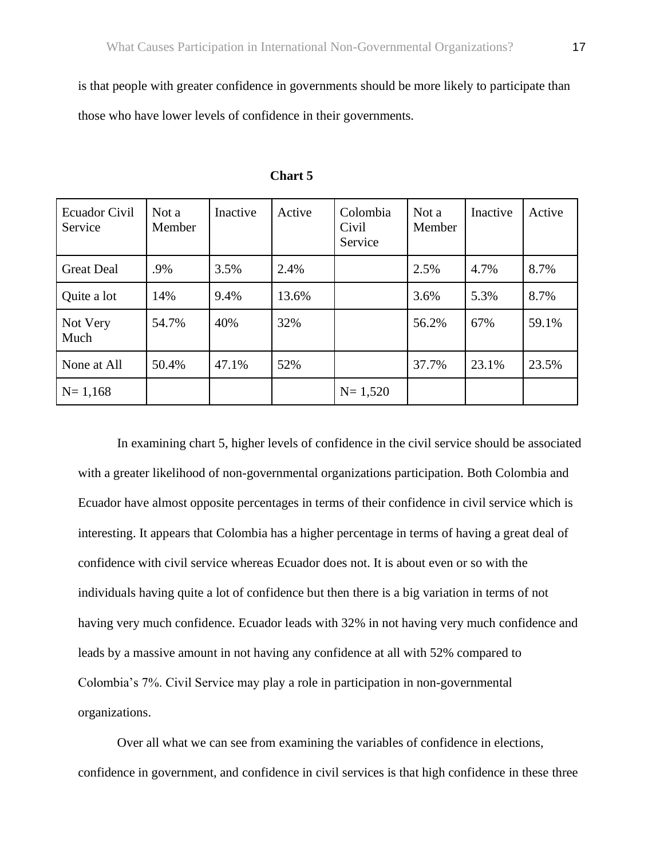is that people with greater confidence in governments should be more likely to participate than those who have lower levels of confidence in their governments.

| <b>Ecuador Civil</b><br>Service | Not a<br>Member | Inactive | Active | Colombia<br>Civil<br>Service | Not a<br>Member | Inactive | Active |
|---------------------------------|-----------------|----------|--------|------------------------------|-----------------|----------|--------|
| <b>Great Deal</b>               | .9%             | 3.5%     | 2.4%   |                              | 2.5%            | 4.7%     | 8.7%   |
| Quite a lot                     | 14%             | 9.4%     | 13.6%  |                              | 3.6%            | 5.3%     | 8.7%   |
| Not Very<br>Much                | 54.7%           | 40%      | 32%    |                              | 56.2%           | 67%      | 59.1%  |
| None at All                     | 50.4%           | 47.1%    | 52%    |                              | 37.7%           | 23.1%    | 23.5%  |
| $N = 1,168$                     |                 |          |        | $N = 1,520$                  |                 |          |        |

 **Chart 5**

In examining chart 5, higher levels of confidence in the civil service should be associated with a greater likelihood of non-governmental organizations participation. Both Colombia and Ecuador have almost opposite percentages in terms of their confidence in civil service which is interesting. It appears that Colombia has a higher percentage in terms of having a great deal of confidence with civil service whereas Ecuador does not. It is about even or so with the individuals having quite a lot of confidence but then there is a big variation in terms of not having very much confidence. Ecuador leads with 32% in not having very much confidence and leads by a massive amount in not having any confidence at all with 52% compared to Colombia's 7%. Civil Service may play a role in participation in non-governmental organizations.

Over all what we can see from examining the variables of confidence in elections, confidence in government, and confidence in civil services is that high confidence in these three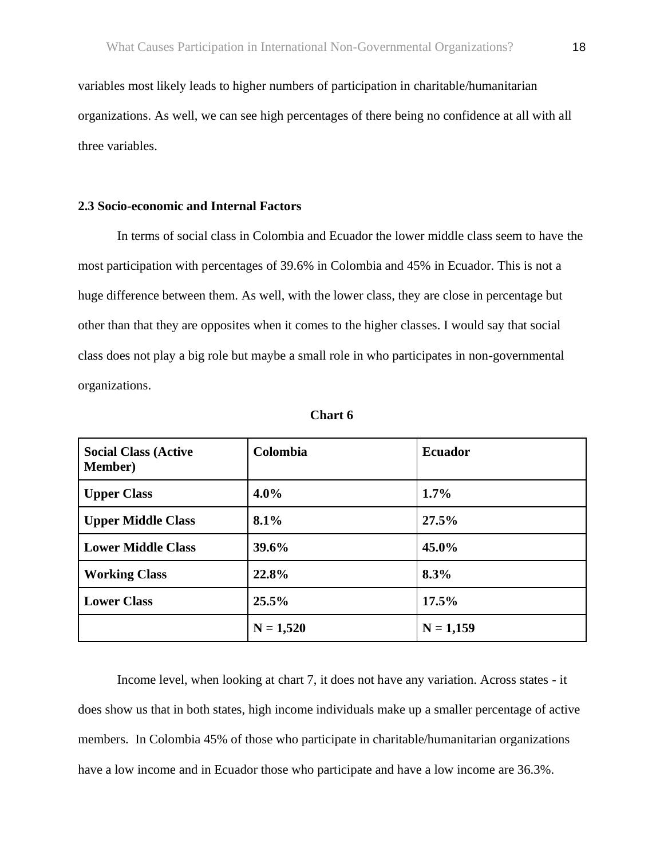variables most likely leads to higher numbers of participation in charitable/humanitarian organizations. As well, we can see high percentages of there being no confidence at all with all three variables.

# **2.3 Socio-economic and Internal Factors**

In terms of social class in Colombia and Ecuador the lower middle class seem to have the most participation with percentages of 39.6% in Colombia and 45% in Ecuador. This is not a huge difference between them. As well, with the lower class, they are close in percentage but other than that they are opposites when it comes to the higher classes. I would say that social class does not play a big role but maybe a small role in who participates in non-governmental organizations.

| <b>Social Class (Active</b><br><b>Member</b> ) | Colombia    | <b>Ecuador</b> |
|------------------------------------------------|-------------|----------------|
| <b>Upper Class</b>                             | $4.0\%$     | $1.7\%$        |
| <b>Upper Middle Class</b>                      | 8.1%        | 27.5%          |
| <b>Lower Middle Class</b>                      | 39.6%       | $45.0\%$       |
| <b>Working Class</b>                           | 22.8%       | 8.3%           |
| <b>Lower Class</b>                             | 25.5%       | 17.5%          |
|                                                | $N = 1,520$ | $N = 1,159$    |

**Chart 6**

Income level, when looking at chart 7, it does not have any variation. Across states - it does show us that in both states, high income individuals make up a smaller percentage of active members. In Colombia 45% of those who participate in charitable/humanitarian organizations have a low income and in Ecuador those who participate and have a low income are 36.3%.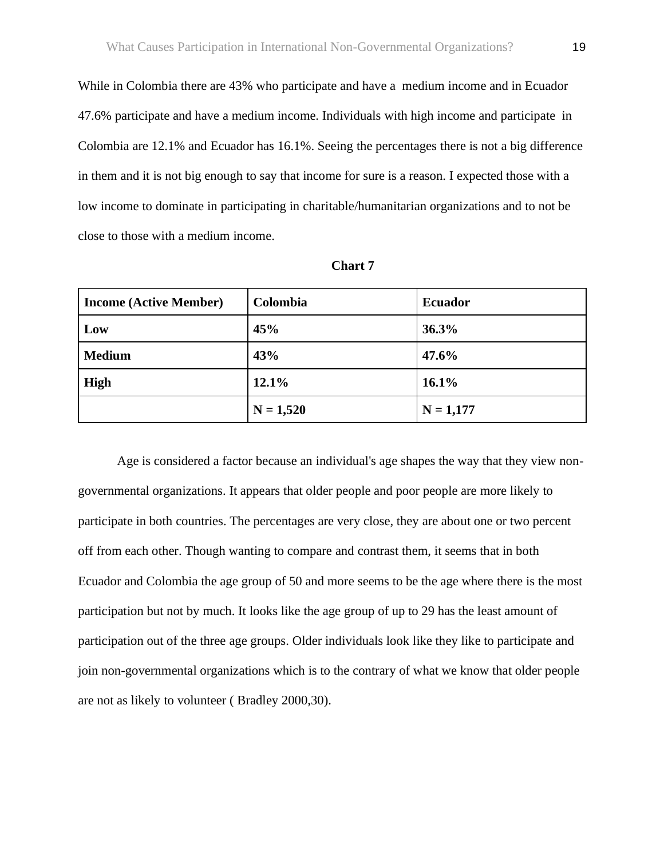While in Colombia there are 43% who participate and have a medium income and in Ecuador 47.6% participate and have a medium income. Individuals with high income and participate in Colombia are 12.1% and Ecuador has 16.1%. Seeing the percentages there is not a big difference in them and it is not big enough to say that income for sure is a reason. I expected those with a low income to dominate in participating in charitable/humanitarian organizations and to not be close to those with a medium income.

| <b>Income (Active Member)</b> | Colombia    | <b>Ecuador</b> |
|-------------------------------|-------------|----------------|
| Low                           | 45%         | 36.3%          |
| <b>Medium</b>                 | 43%         | 47.6%          |
| High                          | 12.1%       | 16.1%          |
|                               | $N = 1,520$ | $N = 1,177$    |

**Chart 7**

Age is considered a factor because an individual's age shapes the way that they view nongovernmental organizations. It appears that older people and poor people are more likely to participate in both countries. The percentages are very close, they are about one or two percent off from each other. Though wanting to compare and contrast them, it seems that in both Ecuador and Colombia the age group of 50 and more seems to be the age where there is the most participation but not by much. It looks like the age group of up to 29 has the least amount of participation out of the three age groups. Older individuals look like they like to participate and join non-governmental organizations which is to the contrary of what we know that older people are not as likely to volunteer ( Bradley 2000,30).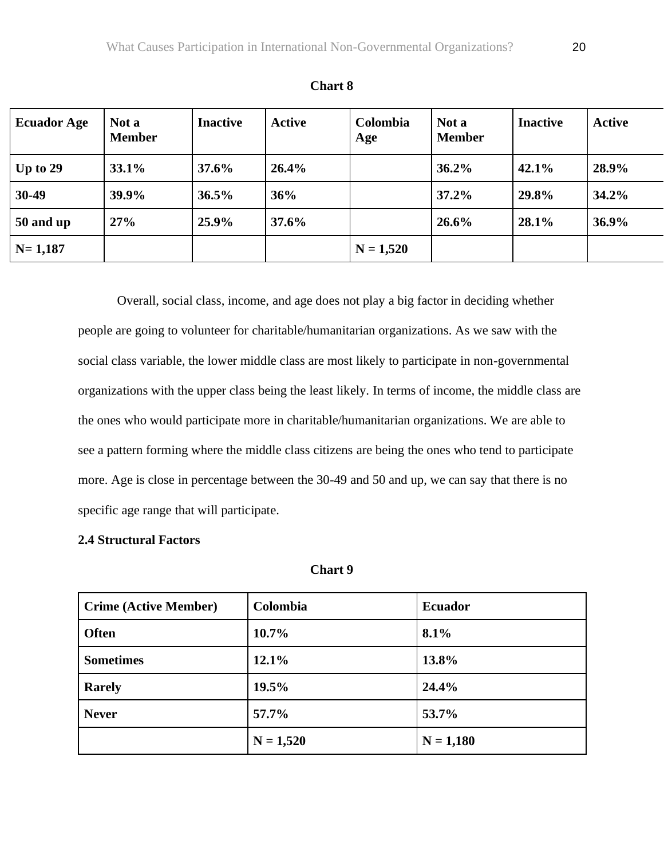| <b>Ecuador Age</b> | Not a<br><b>Member</b> | <b>Inactive</b> | <b>Active</b> | Colombia<br>Age | Not a<br><b>Member</b> | <b>Inactive</b> | <b>Active</b> |
|--------------------|------------------------|-----------------|---------------|-----------------|------------------------|-----------------|---------------|
| $\vert$ Up to 29   | $33.1\%$               | 37.6%           | 26.4%         |                 | 36.2%                  | 42.1%           | 28.9%         |
| 30-49              | 39.9%                  | 36.5%           | 36%           |                 | 37.2%                  | 29.8%           | 34.2%         |
| 50 and up          | 27%                    | 25.9%           | 37.6%         |                 | 26.6%                  | 28.1%           | 36.9%         |
| $N = 1,187$        |                        |                 |               | $N = 1,520$     |                        |                 |               |

**Chart 8**

Overall, social class, income, and age does not play a big factor in deciding whether people are going to volunteer for charitable/humanitarian organizations. As we saw with the social class variable, the lower middle class are most likely to participate in non-governmental organizations with the upper class being the least likely. In terms of income, the middle class are the ones who would participate more in charitable/humanitarian organizations. We are able to see a pattern forming where the middle class citizens are being the ones who tend to participate more. Age is close in percentage between the 30-49 and 50 and up, we can say that there is no specific age range that will participate.

# **2.4 Structural Factors**

| 40<br>Anart |  |
|-------------|--|
|-------------|--|

| <b>Crime (Active Member)</b> | Colombia    | <b>Ecuador</b> |
|------------------------------|-------------|----------------|
| <b>Often</b>                 | $10.7\%$    | 8.1%           |
| <b>Sometimes</b>             | 12.1%       | 13.8%          |
| <b>Rarely</b>                | 19.5%       | 24.4%          |
| <b>Never</b>                 | 57.7%       | 53.7%          |
|                              | $N = 1,520$ | $N = 1,180$    |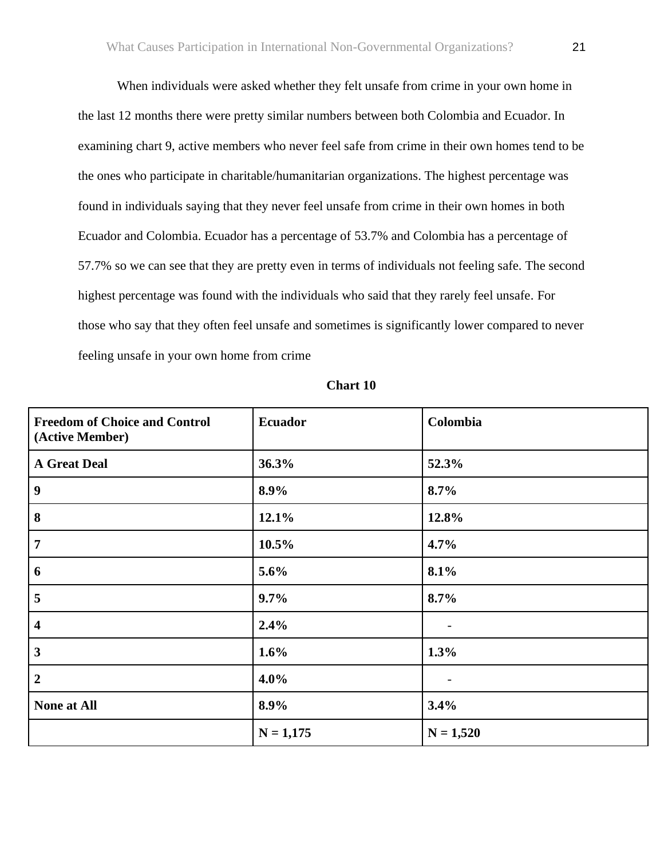When individuals were asked whether they felt unsafe from crime in your own home in the last 12 months there were pretty similar numbers between both Colombia and Ecuador. In examining chart 9, active members who never feel safe from crime in their own homes tend to be the ones who participate in charitable/humanitarian organizations. The highest percentage was found in individuals saying that they never feel unsafe from crime in their own homes in both Ecuador and Colombia. Ecuador has a percentage of 53.7% and Colombia has a percentage of 57.7% so we can see that they are pretty even in terms of individuals not feeling safe. The second highest percentage was found with the individuals who said that they rarely feel unsafe. For those who say that they often feel unsafe and sometimes is significantly lower compared to never feeling unsafe in your own home from crime

| <b>Freedom of Choice and Control</b><br>(Active Member) | <b>Ecuador</b> | Colombia    |  |
|---------------------------------------------------------|----------------|-------------|--|
| <b>A Great Deal</b>                                     | 36.3%          | 52.3%       |  |
| $\overline{9}$                                          | 8.9%           | 8.7%        |  |
| $\boldsymbol{8}$                                        | 12.1%          | 12.8%       |  |
| $\overline{7}$                                          | 10.5%          | 4.7%        |  |
| $6\phantom{1}6$                                         | 5.6%           | 8.1%        |  |
| $\overline{\mathbf{5}}$                                 | 9.7%           | 8.7%        |  |
| $\overline{\mathbf{4}}$                                 | 2.4%           |             |  |
| $\overline{3}$                                          | 1.6%           | 1.3%        |  |
| $\overline{2}$                                          | 4.0%           |             |  |
| <b>None at All</b>                                      | 8.9%           | 3.4%        |  |
|                                                         | $N = 1,175$    | $N = 1,520$ |  |

#### **Chart 10**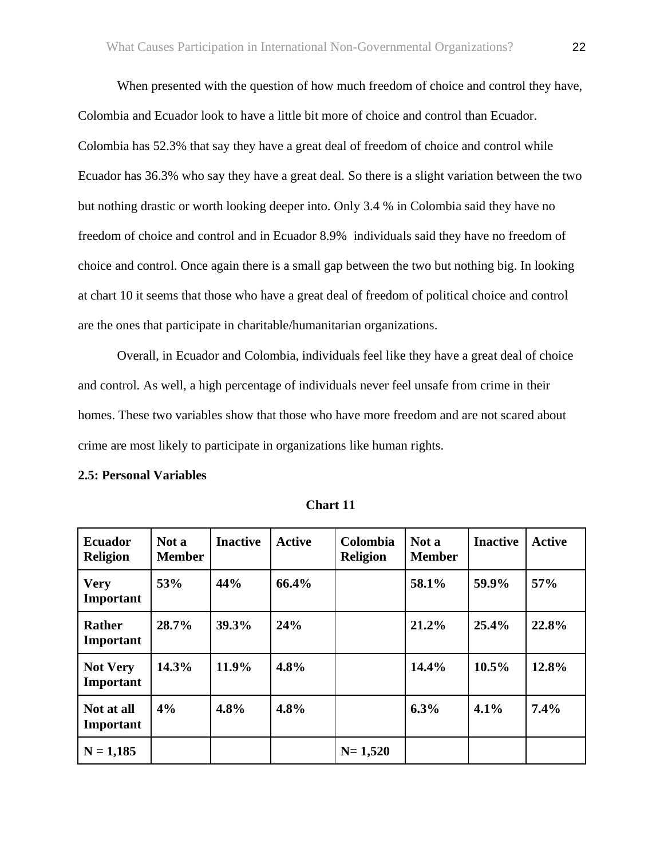When presented with the question of how much freedom of choice and control they have, Colombia and Ecuador look to have a little bit more of choice and control than Ecuador. Colombia has 52.3% that say they have a great deal of freedom of choice and control while Ecuador has 36.3% who say they have a great deal. So there is a slight variation between the two but nothing drastic or worth looking deeper into. Only 3.4 % in Colombia said they have no freedom of choice and control and in Ecuador 8.9% individuals said they have no freedom of choice and control. Once again there is a small gap between the two but nothing big. In looking at chart 10 it seems that those who have a great deal of freedom of political choice and control are the ones that participate in charitable/humanitarian organizations.

Overall, in Ecuador and Colombia, individuals feel like they have a great deal of choice and control. As well, a high percentage of individuals never feel unsafe from crime in their homes. These two variables show that those who have more freedom and are not scared about crime are most likely to participate in organizations like human rights.

| <b>2.5: Personal Variables</b> |  |
|--------------------------------|--|
|--------------------------------|--|

| <b>Ecuador</b><br><b>Religion</b> | Not a<br><b>Member</b> | <b>Inactive</b> | <b>Active</b> | Colombia<br><b>Religion</b> | Not a<br><b>Member</b> | <b>Inactive</b> | <b>Active</b> |
|-----------------------------------|------------------------|-----------------|---------------|-----------------------------|------------------------|-----------------|---------------|
| <b>Very</b><br>Important          | 53%                    | 44%             | 66.4%         |                             | 58.1%                  | 59.9%           | 57%           |
| <b>Rather</b><br>Important        | 28.7%                  | 39.3%           | 24%           |                             | 21.2%                  | 25.4%           | 22.8%         |
| <b>Not Very</b><br>Important      | 14.3%                  | 11.9%           | 4.8%          |                             | 14.4%                  | 10.5%           | 12.8%         |
| Not at all<br>Important           | 4%                     | 4.8%            | 4.8%          |                             | 6.3%                   | 4.1%            | 7.4%          |
| $N = 1,185$                       |                        |                 |               | $N = 1,520$                 |                        |                 |               |

 **Chart 11**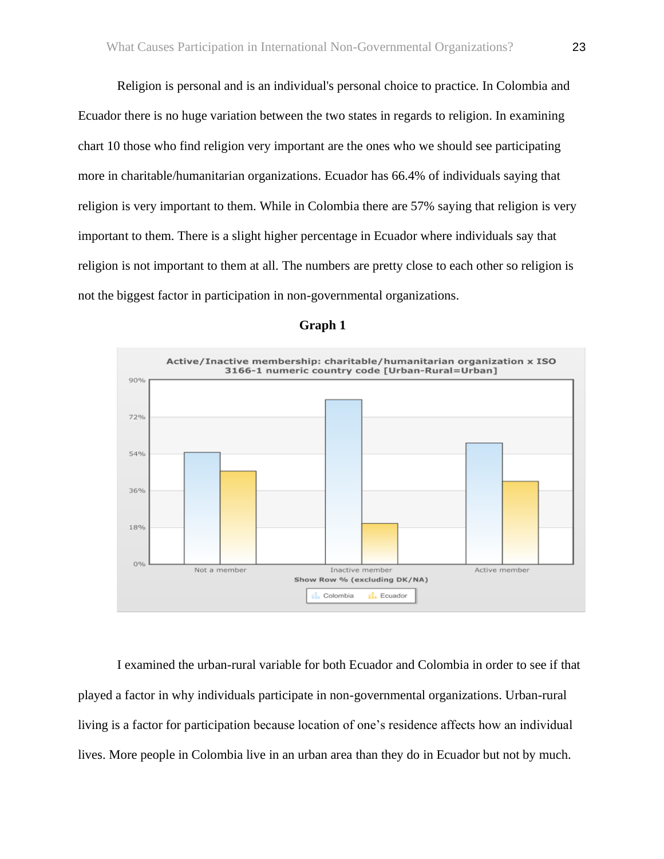Religion is personal and is an individual's personal choice to practice. In Colombia and Ecuador there is no huge variation between the two states in regards to religion. In examining chart 10 those who find religion very important are the ones who we should see participating more in charitable/humanitarian organizations. Ecuador has 66.4% of individuals saying that religion is very important to them. While in Colombia there are 57% saying that religion is very important to them. There is a slight higher percentage in Ecuador where individuals say that religion is not important to them at all. The numbers are pretty close to each other so religion is not the biggest factor in participation in non-governmental organizations.



#### **Graph 1**

I examined the urban-rural variable for both Ecuador and Colombia in order to see if that played a factor in why individuals participate in non-governmental organizations. Urban-rural living is a factor for participation because location of one's residence affects how an individual lives. More people in Colombia live in an urban area than they do in Ecuador but not by much.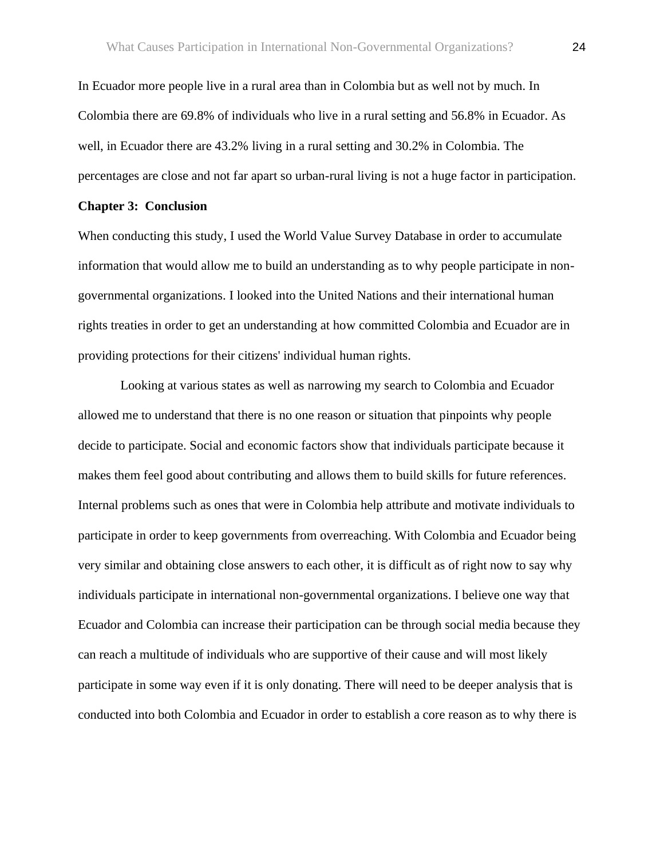In Ecuador more people live in a rural area than in Colombia but as well not by much. In Colombia there are 69.8% of individuals who live in a rural setting and 56.8% in Ecuador. As well, in Ecuador there are 43.2% living in a rural setting and 30.2% in Colombia. The percentages are close and not far apart so urban-rural living is not a huge factor in participation.

#### **Chapter 3: Conclusion**

When conducting this study, I used the World Value Survey Database in order to accumulate information that would allow me to build an understanding as to why people participate in nongovernmental organizations. I looked into the United Nations and their international human rights treaties in order to get an understanding at how committed Colombia and Ecuador are in providing protections for their citizens' individual human rights.

Looking at various states as well as narrowing my search to Colombia and Ecuador allowed me to understand that there is no one reason or situation that pinpoints why people decide to participate. Social and economic factors show that individuals participate because it makes them feel good about contributing and allows them to build skills for future references. Internal problems such as ones that were in Colombia help attribute and motivate individuals to participate in order to keep governments from overreaching. With Colombia and Ecuador being very similar and obtaining close answers to each other, it is difficult as of right now to say why individuals participate in international non-governmental organizations. I believe one way that Ecuador and Colombia can increase their participation can be through social media because they can reach a multitude of individuals who are supportive of their cause and will most likely participate in some way even if it is only donating. There will need to be deeper analysis that is conducted into both Colombia and Ecuador in order to establish a core reason as to why there is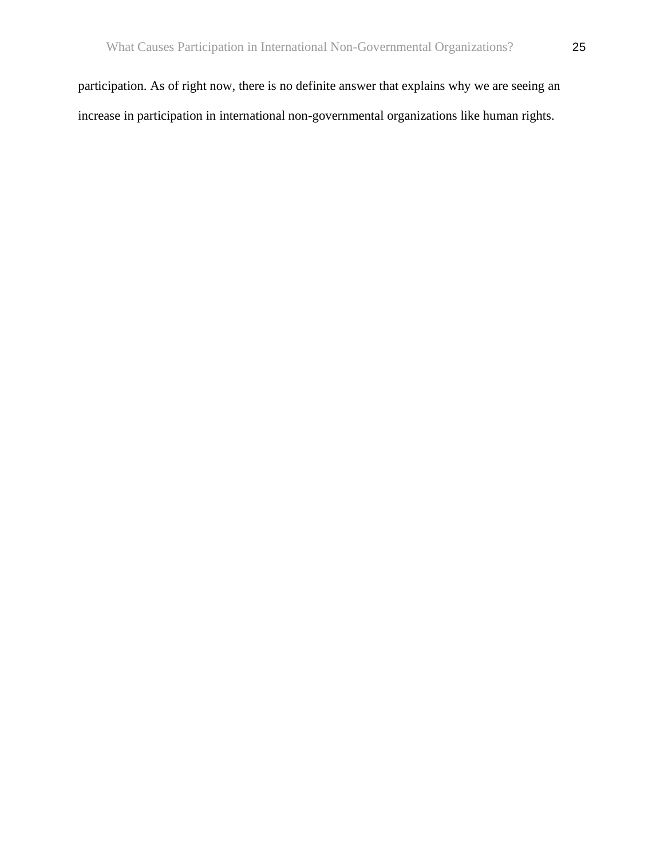participation. As of right now, there is no definite answer that explains why we are seeing an increase in participation in international non-governmental organizations like human rights.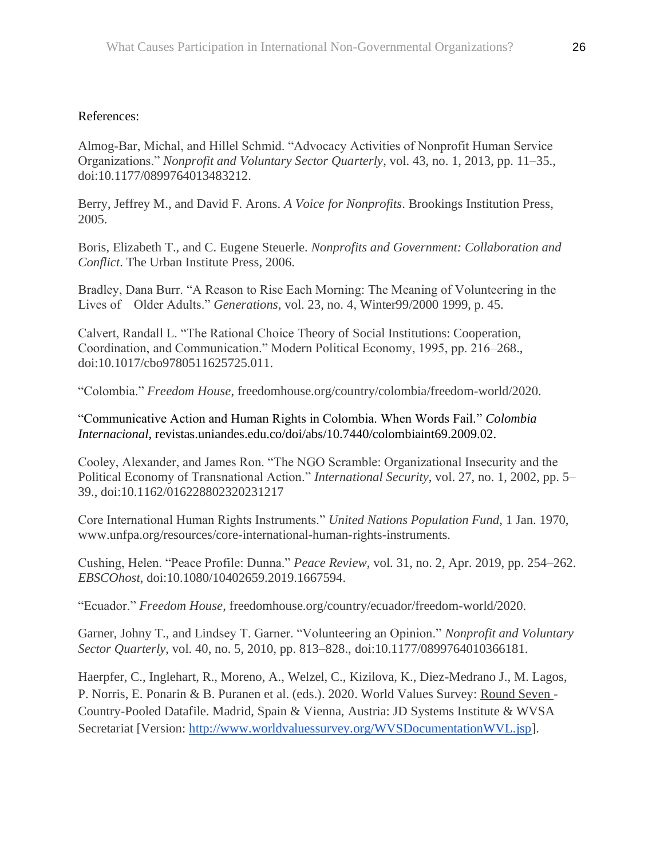# References:

Almog-Bar, Michal, and Hillel Schmid. "Advocacy Activities of Nonprofit Human Service Organizations." *Nonprofit and Voluntary Sector Quarterly*, vol. 43, no. 1, 2013, pp. 11–35., doi:10.1177/0899764013483212.

Berry, Jeffrey M., and David F. Arons. *A Voice for Nonprofits*. Brookings Institution Press, 2005.

Boris, Elizabeth T., and C. Eugene Steuerle. *Nonprofits and Government: Collaboration and Conflict*. The Urban Institute Press, 2006.

Bradley, Dana Burr. "A Reason to Rise Each Morning: The Meaning of Volunteering in the Lives of Older Adults." *Generations*, vol. 23, no. 4, Winter99/2000 1999, p. 45.

Calvert, Randall L. "The Rational Choice Theory of Social Institutions: Cooperation, Coordination, and Communication." Modern Political Economy, 1995, pp. 216–268., doi:10.1017/cbo9780511625725.011.

"Colombia." *Freedom House*, freedomhouse.org/country/colombia/freedom-world/2020.

"Communicative Action and Human Rights in Colombia. When Words Fail." *Colombia Internacional*, revistas.uniandes.edu.co/doi/abs/10.7440/colombiaint69.2009.02.

Cooley, Alexander, and James Ron. "The NGO Scramble: Organizational Insecurity and the Political Economy of Transnational Action." *International Security*, vol. 27, no. 1, 2002, pp. 5– 39., doi:10.1162/016228802320231217

Core International Human Rights Instruments." *United Nations Population Fund*, 1 Jan. 1970, www.unfpa.org/resources/core-international-human-rights-instruments.

Cushing, Helen. "Peace Profile: Dunna." *Peace Review*, vol. 31, no. 2, Apr. 2019, pp. 254–262. *EBSCOhost*, doi:10.1080/10402659.2019.1667594.

"Ecuador." *Freedom House*, freedomhouse.org/country/ecuador/freedom-world/2020.

Garner, Johny T., and Lindsey T. Garner. "Volunteering an Opinion." *Nonprofit and Voluntary Sector Quarterly*, vol. 40, no. 5, 2010, pp. 813–828., doi:10.1177/0899764010366181.

Haerpfer, C., Inglehart, R., Moreno, A., Welzel, C., Kizilova, K., Diez-Medrano J., M. Lagos, P. Norris, E. Ponarin & B. Puranen et al. (eds.). 2020. World Values Survey: Round Seven - Country-Pooled Datafile. Madrid, Spain & Vienna, Austria: JD Systems Institute & WVSA Secretariat [Version: [http://www.worldvaluessurvey.org/WVSDocumentationWVL.jsp\]](http://www.worldvaluessurvey.org/WVSDocumentationWVL.jsp).